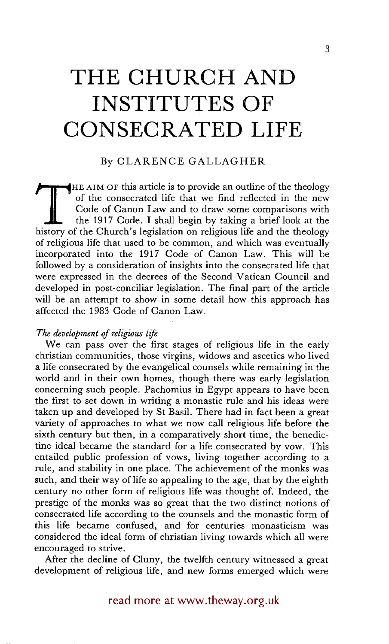# **THE CHURCH AND INSTITUTES OF CONSECRATED LIFE**

## By CLARENCE GALLAGHER

THE AIM OF this article is to provide an outline of the theology of the consecrated life that we find reflected in the new Code of Canon Law and to draw some comparisons with the 1917 Code. I shall begin by taking a brief of the consecrated life that we find reflected in the new Code of Canon Law and to draw some comparisons with the 1917 Code. I shall begin by taking a brief look at the of religious life that used to be common, and which was eventually incorporated into the 1917 Code of Canon Law. This will be followed by a consideration of insights into the consecrated life that were expressed in the decrees of the Second Vatican Council and developed in post-conciliar legislation. The final part of the article will be an attempt to show in some detail how this approach has affected the 1983 Code of Canon Law.

### *The development of religious life*

We can pass over the first stages of religious life in the early christian communities, those virgins, widows and ascetics who lived a life consecrated by the evangelical counsels while remaining in the world and in their own homes, though there was early legislation concerning such people. Pachomius in Egypt appears to have been the first to set down in writing a monastic rule and his ideas were taken up and developed by St Basil. There had in fact been a great variety of approaches to what we now call religious life before the sixth century but then, in a comparatively short time, the benedictine ideal became the standard for a life consecrated by vow. This entailed public profession of vows, living together according to a rule, and stability in one place. The achievement of the monks was such, and their way of life so appealing to the age, that by the eighth century no other form of religious life was thought of. Indeed, the prestige of the monks was so great that the two distinct notions of consecrated life according to the counsels and the monastic form of this life became confused, and for centuries monasticism was considered the ideal form of christian living towards which all were encouraged to strive.

After the decline of Cluny, the twelfth century witnessed a great development of religious life, and new forms emerged which were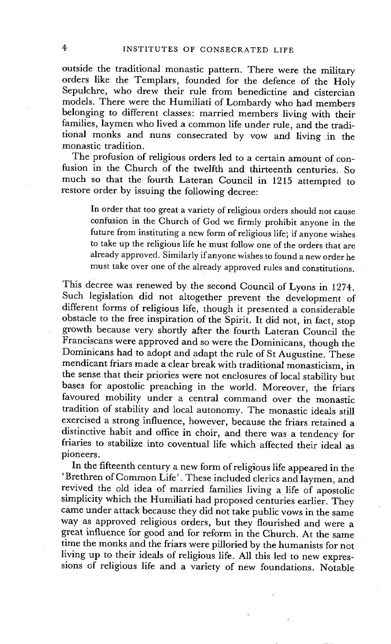outside the traditional monastic pattern. There were the military orders like the Templars, founded for the defence of the Holy Sepulchre, who drew their rule from benedictine and cistercian models. There were the Humiliati of Lombardy who had members belonging to different classes: married members living with their families, laymen who lived a common life under rule, and the traditional monks and nuns consecrated by vow and living in the monastic tradition.

The profusion of religious orders led to a certain amount of confusion in the Church of the twelfth and thirteenth centuries. So much so that the fourth Lateran Council in 1215 attempted to restore order by issuing the following decree:

In order that too great a variety of religious orders should not cause confusion in the Church of God we firmly prohibit anyone in the future from instituting a new form of religious life; if anyone wishes to take up the religious life he must follow one of the orders that are already approved. Similarly if anyone wishes to found a new order he must take over one of the already approved rules and constitutions.

This decree was renewed by the second Council of Lyons in 1274. Such legislation did not altogether prevent the development of different forms of religious life, though it presented a considerable obstacle to the free inspiration of the Spirit. It did not, in fact, stop growth because very shortly after the fourth Lateran Council the Franciscans were approved and so were the Dominicans, though the Dominicans had to adopt and adapt the rule of St Augustine. These mendicant friars made a clear break with traditional monasticism, in the sense that their priories were not enclosures of local stability but bases for apostolic preaching in the world. Moreover, the friars favoured mobility under a central command over the monastic tradition of stability and local autonomy. The monastic ideals still exercised a strong influence, however, because the friars retained a distinctive habit and office in choir, and there was a tendency for friaries to stabilize into coventuat life which affected their ideal as pioneers.

In the fifteenth century a new form of religious life appeared in the 'Brethren of Common Life'. These included clerics and laymen, and revived the old idea of married families living a life of apostolic simplicity which the Humiliati had proposed centuries earlier. They came under attack because they did not take public vows in the same way as approved religious orders, but they flourished and were a great influence for good and for reform in the Church. At the same time the monks and the friars were pilloried by the humanists for not living up to their ideals of religious life. All this led to new expressions of religious life and a variety of new foundations. Notable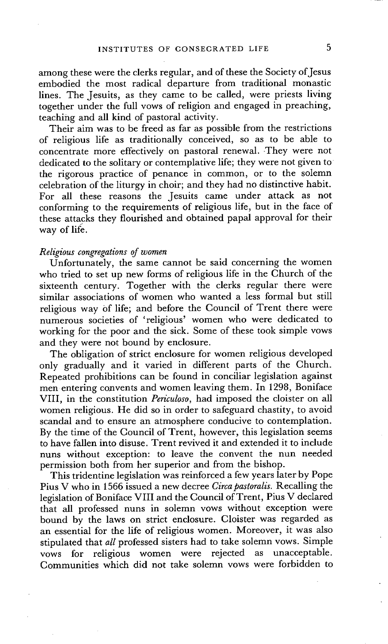among these were the clerks regular, and of these the Society of Jesus embodied the most radical departure from traditional monastic lines. The Jesuits, as they came to be called, were priests living together under the full vows of religion and engaged in preaching, teaching and all kind of pastoral activity.

Their aim was to be freed as far as possible from the restrictions of religious life as traditionally conceived, so as to be able to concentrate more effectively on pastoral renewal..They were not dedicated to the solitary or contemplative life; they were not given to the rigorous practice of penance in common, or to the solemn celebration of the liturgy in choir; and they had no distinctive habit. For all these reasons the Jesuits came under attack as not conforming to the requirements of religious life, but in the face of these attacks they flourished and obtained papal approval for their way of life.

#### *Religious congregations of women*

Unfortunately, the same cannot be said concerning the women who tried to set up new forms of religious life in the Church of the sixteenth century. Together with the clerks regular there were similar associations of women who wanted a less formal but still religious way of life; and before the Council of Trent there were numerous societies of 'religious' women who were dedicated to working for the poor and the sick. Some of these took simple vows and they were not bound by enclosure.

The obligation of strict enclosure for women religious developed only gradually and it varied in different parts of the Church. Repeated prohibitions can be found in conciliar legislation against men entering convents and women leaving them. In 1298, Boniface VIII, in the constitution *Periculoso,* had imposed the cloister on all women religious. He did so in order to safeguard chastity, to avoid scandal and to ensure an atmosphere conducive to contemplation. By the time of the Council of Trent, however, this legislation seems to have fallen into disuse. Trent revived it and extended it to include nuns without exception: to leave the convent the nun needed permission both from her superior and from the bishop.

This tridentine legislation was reinforced a few years later by Pope Pius V who in 1566 issued a new decree *Circa pastoralis*. Recalling the legislation of Boniface VIII and the Council of Trent, Pius V declared that all professed nuns in solemn vows without exception were bound by the laws on strict enclosure. Cloister was regarded as an essential for the life of religious women. Moreover, it was also stipulated that *all* professed sisters had to take solemn vows. Simple vows for religious women were rejected as unacceptable. Communities which did not take solemn vows were forbidden to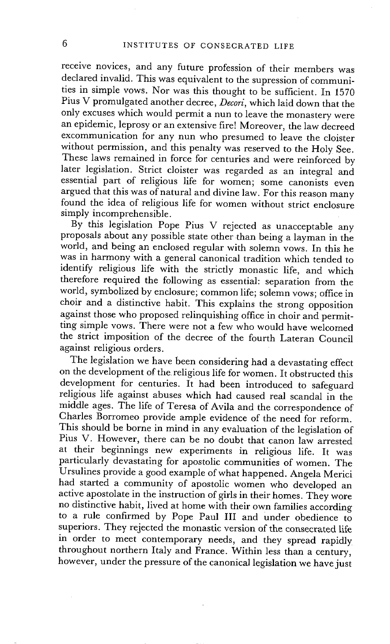receive novices, and any future profession of their members was declared invalid. This was equivalent to the supression of communities in simple vows. Nor was this thought to be sufficient. In 1570 Pius V promulgated another decree, *Decori,* which laid down that the only excuses which would permit a nun to leave the monastery were an epidemic, leprosy or an extensive fire! Moreover, the law decreed excommunication for any nun who presumed to leave the cloister without permission, and this penalty was reserved to the Holy See. These laws remained in force for centuries and were reinforced by later legislation. Strict cloister was regarded as an integral and essential part of religious life for women; some canonists even argued that this was of natural and divine law. For this reason many found the idea of religious life for women without strict enclosure simply incomprehensible.

By this legislation Pope Pius V rejected as unacceptable any proposals about any possible state other than being a layman in the world, and being an enclosed regular with solemn vows. In this he was in harmony with a general canonical tradition which tended to identify religious life with the strictly monastic life, and which therefore required the following as essential: separation from the world, symbolized by enclosure; common life; solemn vows; office in choir and a distinctive habit. This explains the strong opposition against those who proposed relinquishing office in choir and permitting simple vows. There were not a few who would have welcomed the strict imposition of the decree of the fourth Lateran Council against religious orders.

The legislation we have been considering had a devastating effect on the development of the religious life for women. It obstructed this development for centuries. It had been introduced to safeguard religious life against abuses which had caused real scandal in the middle ages. The life of Teresa of Avila and the correspondence of Charles Borromeo provide ample evidence of the need for reform. This should be borne in mind in any evaluation of the legislation of Pius V. However, there can be no doubt that canon law arrested at their beginnings new experiments in religious life. It was particularly devastating for apostolic communities of women. The Ursulines provide a good example of what happened. Angela Merici had started a community of apostolic women who developed an active apostolate in the instruction of girls in their homes. They wore no distinctive habit, lived at home with their own families according to a rule confirmed by Pope Paul III and Under obedience to superiors. They rejected the monastic version of the consecrated life in order to meet contemporary needs, and they spread rapidly throughout northern Italy and France. Within less than a century, however, under the pressure of the canonical legislation we have just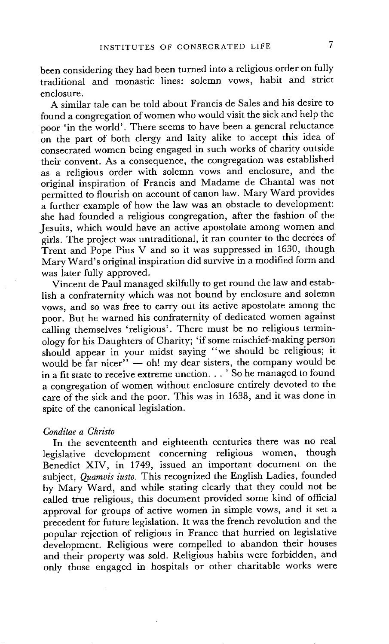been considering they had been turned into a religious order on fully traditional and monastic lines: solemn vows, habit and strict enclosure.

A similar tale can be told about Francis de Sales and his desire to found a congregation of women who would visit the sick and help the poor 'in the world'. There seems to have been a general reluctance on the part of both clergy and laity alike to accept this idea of consecrated women being engaged in such works of charity outside their convent. As a consequence, the congregation was established as a religious order with solemn vows and enclosure, and the original inspiration of Francis and Madame de Chantal was not permitted to flourish on account of canon law. Mary Ward provides a further example of how the law was an obstacle to development: she had founded a religious congregation, after the fashion of the Jesuits, which would have an active apostolate among women and girls. The project was untraditional, it ran counter to the decrees of Trent and Pope Pius V and so it was suppressed in 1630, though Mary Ward's original inspiration did survive in a modified form and was later fully approved.

Vincent de Paul managed skilfully to get round the law and establish a confraternity which was not bound by enclosure and solemn vows, and so was free to carry out its active apostolate among the poor. But he warned his confraternity of dedicated women against calling themselves 'religious'. There must be no religious terminology for his Daughters of Charity; 'if some mischief-making person should appear in your midst saying "we should be religious; it would be far nicer"  $-$  oh! my dear sisters, the company would be in a fit state to receive extreme unction... ' So he managed to found a congregation of women without enclosure entirely devoted to the care of the sick and the poor. This was in 1638, and it was done in spite of the canonical legislation.

#### *Conditae a Christo*

In the seventeenth and eighteenth centuries there was no real legislative development concerning religious women, though Benedict XIV, in 1749, issued an important document on the subject, *Quarnvis iusto.* This recognized the English Ladies, founded by Mary Ward, and while stating clearly that they could not be called true religious, this document provided some kind of official approval for groups of active women in simple vows, and it set a precedent for future legislation. It was the french revolution and the popular rejection of religious in France that hurried on legislative development. Religious were compelled to abandon their houses and their property was sold. Religious habits were forbidden, and only those engaged in hospitals or other charitable works were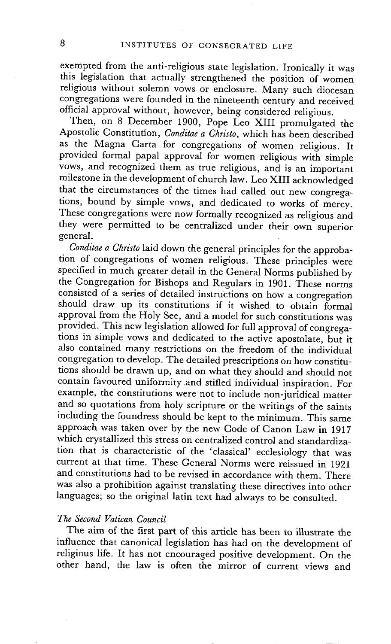exempted from the anti-religious state legislation. Ironically it was this legislation that actually strengthened the position of women religious without solemn vows or enclosure. Many such diocesan congregations were founded in the nineteenth century and received official approval without, however, being considered religious.

Then, on 8 December 1900, Pope Leo XIII promulgated the Apostolic Constitution, *Conditae a Christo,* which has been described as the Magna Carta for congregations of women religious. It provided formal papal approval for women religious with simple vows, and recognized them as true religious, and is an important milestone in the development of church law. Leo XIII acknowledged that the circumstances of the times had called out new congregations, bound by simple vows, and dedicated to works of mercy. These congregations were now formally recognized as religious and they were permitted to be centralized under their own superior general.

*Conditae a Christo* laid down the general principles for the approbation of congregations of women religious. These principles were specified in much greater detail in the General Norms published by the Congregation for Bishops and Regulars in 1901. These norms consisted of a series of detailed instructions on how a congregation should draw up its constitutions if it wished to obtain formal approval from the Holy See, and a model for such constitutions was provided. This new legislation allowed for full approval of congregations in simple vows and dedicated to the active apostolate, but it also contained many restrictions on the freedom of the individual congregation to develop. The detailed prescriptions on how constitutions should be drawn up, and on what they should and should not contain favoured uniformity .and stifled individual inspiration. For example, the constitutions were not to include non-juridical matter and so quotations from holy scripture or the writings of the saints including the foundress should be kept to the minimum. This same approach was taken over by the new Code of Canon Law in 1917 which crystallized this stress on centralized control and standardization that is characteristic of the 'classical' ecclesiology that was current at that time. These General Norms were reissued in 1921 and constitutions had to be revised in accordance with them. There was also a prohibition against translating these directives into other languages; so the original latin text had always to be consulted.

### *The Second Vatican Council*

The aim of the first part of this article has been to illustrate the influence that canonical legislation has had on the development of religious life. It has not encouraged positive development. On the other hand, the law is often the mirror of current views and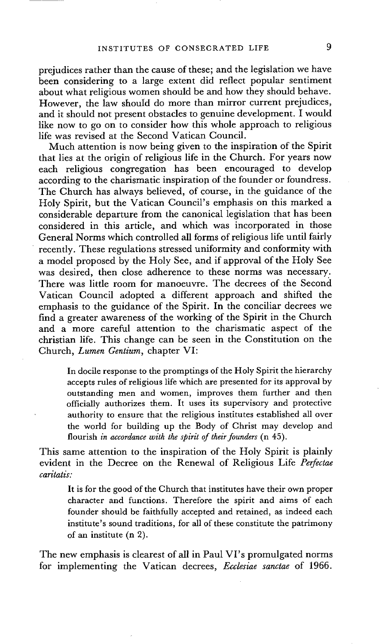prejudices rather than the cause of these; and the legislation we have been considering to a large extent did reflect popular sentiment about what religious women should be and how they should behave. However, the law should do more than mirror current prejudices, and it should not present obstacles to genuine development. I would like now to go on to consider how this whole approach to religious life was revised at the Second Vatican Council.

Much attention is now being given to the inspiration of the Spirit that lies at the origin of religious life in the Church. For years now each religious congregation has been encouraged to develop according to the charismatic inspiration of the founder or foundress. The Church has always believed, of course, in the guidance of the Holy Spirit, but the Vatican Council's emphasis on this marked a considerable departure from the canonical legislation that has been considered in this article, and which was incorporated in those General Norms which controlled all forms of religious life until fairly recently. These regulations stressed uniformity and conformity with a model proposed by the Holy See, and if approval of the Holy See was desired, then close adherence to these norms was necessary. There was little room for manoeuvre. The decrees of the Second Vatican Council adopted a different approach and shifted the emphasis to the guidance of the Spirit. In the conciliar decrees we find a greater awareness of the working of the Spirit in the Church and a more careful attention to the charismatic aspect of the christian life. This change can be seen in the Constitution on the Church, *Lumen Gentium,* chapter VI:

In docile response to the promptings of the Holy Spirit the hierarchy accepts rules of religious life which are presented for its approval by outstanding men and women, improves them further and then officially authorizes them. It uses its supervisory and protective authority to ensure that the religious institutes established all over the world for building up the Body of Christ may develop and flourish *in accordance with the spirit of their founders* (n 45).

This same attention to the inspiration of the Holy Spirit is plainly evident in the Decree on the Renewal of Religious Life *Perfectae caritatis:* 

It is for the good of the Church that institutes have their own proper character and functions. Therefore the spirit and aims of each founder should be faithfully accepted and retained, as indeed each institute's sound traditions, for all of these constitute the patrimony of an institute (n 2).

The new emphasis is clearest of all in Paul VI's promulgated norms for implementing the Vatican decrees, *Ecclesiae sanctae* of 1966.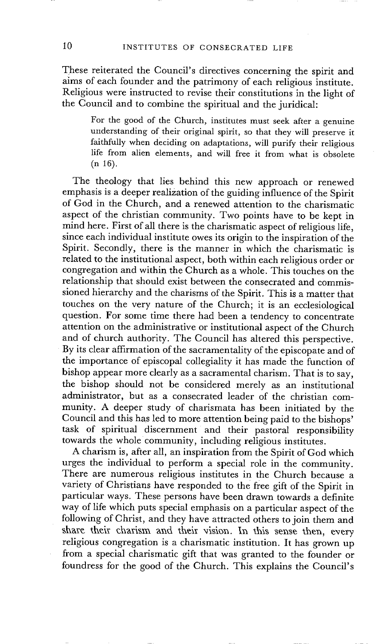These reiterated the Council's directives concerning the spirit and aims of each founder and the patrimony of each religious institute. Religious were instructed to revise their constitutions in the light of the Council and to combine the spiritual and the juridical:

For the good of the Church, institutes must seek after a genuine understanding of their original spirit, so that they will preserve it faithfully when deciding on adaptations, will purify their religious life from alien elements, and will free it from what is obsolete (n 16).

The theology that lies behind this new approach or renewed emphasis is a deeper realization of the guiding influence of the Spirit of God in the Church, and a renewed attention to the charismatic aspect of the christian community. Two points have to be kept in mind here. First of all there is the charismatic aspect of religious life, since each individual institute owes its origin to the inspiration of the Spirit. Secondly, there is the manner in which the charismatic is related to the institutional aspect, both within each religious order or congregation and within the Church as a whole. This touches on the relationship that should exist between the consecrated and commissioned hierarchy and the charisms of the Spirit. This is a matter that touches on the very nature of the Church; it is an ecclesiological question. For some time there had been a tendency to concentrate attention on the administrative or institutional aspect of the Church and of church authority. The Council has altered this perspective. By its clear affirmation of the sacramentality of the episcopate and of the importance of episcopal collegiality it has made the function of bishop appear more clearly as a sacramental charism. That is to say, the bishop should not be considered merely as an institutional administrator, but as a consecrated leader of the christian community. A deeper study of charismata has been initiated by the Council and this has led to more attention being paid to the bishops' task of spiritual discernment and their pastoral responsibility towards the whole community, including religious institutes.

A charism is, after all, an inspiration from the Spirit of God which urges the individual to perform a special role in the community. There are numerous religious institutes in the Church because a variety of Christians have responded to the free gift of the Spirit in particular ways. These persons have been drawn towards a definite way of life which puts special emphasis on a particular aspect of the following of Christ, and they have attracted others to join them and share their charism and their vision. In this sense then, every religious congregation is a charismatic institution. It has grown up from a special charismatic gift that was granted to the founder or foundress for the good of the Church. This explains the Council's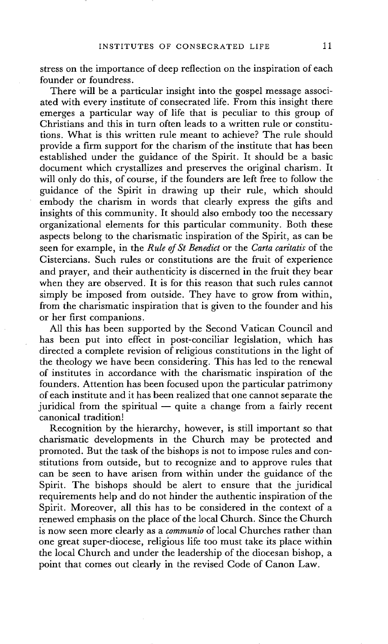stress on the importance of deep reflection on the inspiration of each founder or foundress.

There will be a particular insight into the gospel message associated with every institute of consecrated life. From this insight there emerges a particular way of life that is peculiar to this group of Christians and this in turn often leads to a written rule or constitutions. What is this written rule meant to achieve? The rule should provide a firm support for the charism of the institute that has been established under the guidance of the Spirit. It should be a basic document which crystallizes and preserves the original charism. It will only do this, of course, if the founders are left free to follow the guidance of the Spirit in drawing up their rule, which should embody the charism in words that clearly express the gifts and insights of this community. It should also embody too the necessary organizational elements for this particular community. Both these aspects belong to the charismatic inspiration of the Spirit, as can be seen for example, in the *Rule of St Benedict* or the *Carta caritatis* of the Cistercians. Such rules or constitutions are the fruit of experience and prayer, and their authenticity is discerned in the fruit they bear when they are observed. It is for this reason that such rules cannot simply be imposed from outside. They have to grow from within, from the charismatic inspiration that is given to the founder and his or her first companions.

All this has been supported by the Second Vatican Council and has been put into effect in post-conciliar legislation, which has directed a complete revision of religious constitutions in the light of the theology we have been considering. This has led to the renewal of institutes in accordance with the charismatic inspiration of the founders. Attention has been focused upon the particular patrimony of each institute and it has been realized that one cannot separate the juridical from the spiritual  $-$  quite a change from a fairly recent canonical tradition!

Recognition by the hierarchy, however, is still important so that charismatic developments in the Church may be protected and promoted. But the task of the bishops is not to impose rules and constitutions from outside, but to recognize and to approve rules that can be seen to have arisen from within under the guidance of the Spirit. The bishops should be alert to ensure that the juridical requirements help and do not hinder the authentic inspiration of the Spirit. Moreover, all this has to be considered in the context of a renewed emphasis on the place of the local Church. Since the Church is now seen more clearly as a *communio* of local Churches rather than one great super-diocese, religious life too must take its place within the local Church and under the leadership of the diocesan bishop, a point that comes out clearly in the revised Code of Canon Law.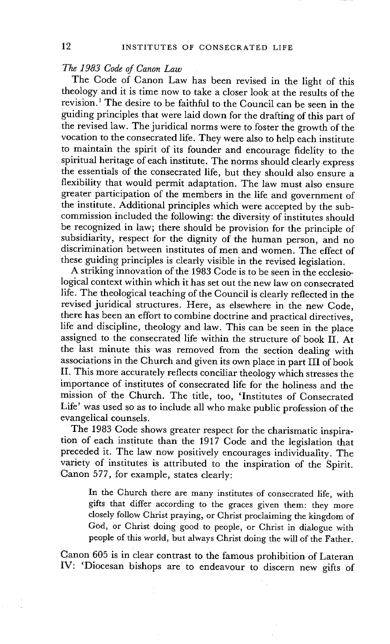*The 1983 Code of Canon Law* 

The Code of Canon Law has been revised in the light of this theology and it is time now to take a closer look at the results of the revision. 1 The desire to be faithful to the Council can be seen in the guiding principles that were laid down for the drafting of this part of the revised law. The juridical norms were to foster the growth of the vocation to the consecrated life. They were also to help each institute to maintain the spirit of its founder and encourage fidelity to the spiritual heritage of each institute. The norms should clearly express the essentials of the consecrated life, but they should also ensure a flexibility that would permit adaptation. The law must also ensure greater participation of the members in the life and government of the institute. Additional principles which were accepted by the subcommission included the following: the diversity of institutes should be recognized in law; there should be provision for the principle of subsidiarity, respect for the dignity of the human person, and no discrimination between institutes of men and women. The effect of these guiding principles is clearly visible in the revised legislation.

A striking innovation of the 1983 Code is to be seen in the ecclesiological context within which it has set out the new law on consecrated life. The theological teaching of the Council is clearly reflected in the revised juridical structures. Here, as elsewhere in the new Code, there has been an effort to combine doctrine and practical directives, life and discipline, theology and law. This can be seen in the place assigned to the consecrated life within the structure of book II. At the last minute this was removed from the section dealing with associations in the Church and given its own place in part III of book II. This more accurately reflects conciliar theology which stresses the importance of institutes of consecrated life for the holiness and the mission of the Church. The title, too, 'Institutes of Consecrated Life' was used so as to include all who make public profession of the evangelical counsels.

The 1983 Code shows greater respect for the charismatic inspiration of each institute than the 1917 Code and the legislation that preceded it. The law now positively encourages individuality. The variety of institutes is attributed to the inspiration of the Spirit. Canon 577, for example, states clearly:

In the Church there are many institutes of consecrated life, with gifts that differ according to the graces given them: they more closely follow Christ praying, or Christ proclaiming the kingdom of God, or Christ doing good to people, or Christ in dialogue with people of this world, but always Christ doing the will of the Father.

Canon 605 is in clear contrast to the famous prohibition of Lateran IV: 'Diocesan bishops are to endeavour to discern new gifts of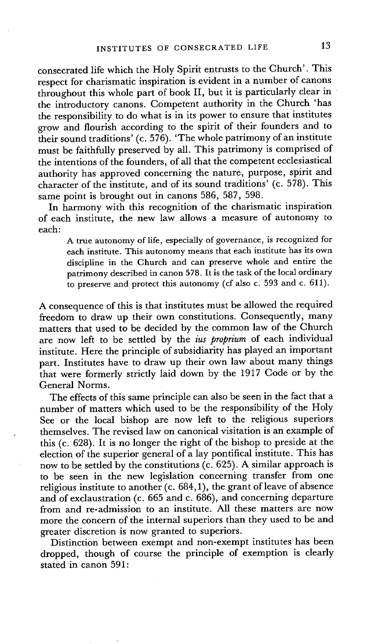consecrated life which the Holy Spirit entrusts to the Church'. This respect for charismatic inspiration is evident in a number of canons throughout this whole part of book II, but it is particularly clear in the introductory canons. Competent authority in the Church 'has the responsibility to do what is in its power to ensure that institutes grow and flourish according to the spirit of their founders and to their sound traditions' (c. 576). 'The whole patrimony of an institute must be faithfully preserved by all. This patrimony is comprised of the intentions of the founders, of all that the competent ecclesiastical authority has approved concerning the nature, purpose, spirit and character of the institute, and of its sound traditions' (c. 578). This same point is brought out in canons 586, 587, 598.

In harmony with this recognition of the charismatic inspiration of each institute, the new law allows a measure of autonomy to each:

A true autonomy of life, especially of governance, is recognized for each institute. This autonomy means that each institute has its own discipline in the Church and can preserve whole and entire the patrimony described in canon 578. It is the task of the local ordinary to preserve and protect this autonomy (cf also c. 593 and c. 611).

A consequence of this is that institutes must be allowed the required freedom to draw up their own constitutions. Consequently, many matters that used to be decided by the common law of the Church are now left to be settled by the *ius proprium* of each individual institute. Here the principle of subsidiarity has played an important part. Institutes have to draw up their own law about many things that were formerly strictly laid down by the 1917 Code or by the General Norms.

The effects of this same principle can also be seen in the fact that a number of matters which used to be the responsibility of the Holy See or the local bishop are now left to the religious superiors themselves. The revised law on canonical visitation is an example of this (c. 628). It is no longer the right of the bishop to preside at the election of the superior general of a lay pontifical institute. This has now to be settled by the constitutions (c. 695). A similar approach is to be seen in the new legislation concerning transfer from one religious institute to another (c. 684,1), the grant of leave of absence and of exclaustration (c. 665 and c. 686), and concerning departure from and re-admission to an institute. All these matters are now more the concern of the internal superiors than they used to be and greater discretion is now granted to superiors.

Distinction between exempt and non-exempt institutes has been dropped, though of course the principle of exemption is clearly stated in canon 591: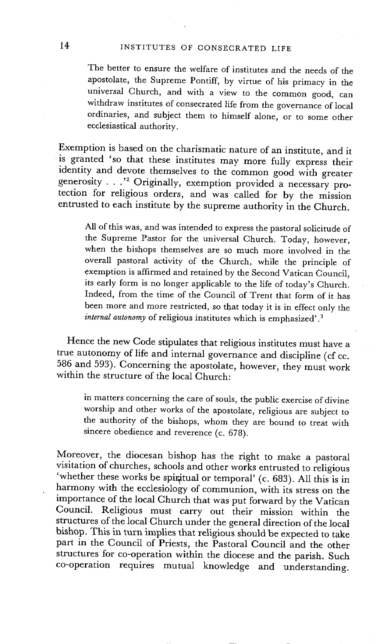The better to ensure the welfare of institutes and the needs of the apostolate, the Supreme Pontiff, by virtue of his primacy in the universal Church, and with a view to the common good, can withdraw institutes of consecrated life from the governance of local ordinaries, and subject them to himself alone, or to some other ecclesiastical authority.

Exemption is based on the charismatic nature of an institute, and it is granted 'so that these institutes may more fully express their identity and devote themselves to the common good with greater generosity . . . " Originally, exemption provided a necessary protection for religious orders, and was called for by the mission entrusted to each institute by the supreme authority in the Church.

All of this was, and was intended to express the pastoral solicitude of the Supreme Pastor for the universal Church. Today, however, when the bishops themselves are so much more involved in the overall pastoral activity of the Church, while the principle of exemption is affirmed and retained by the Second Vatican Council, its early form is no longer applicable to the life of today's Church. Indeed, from the time of the Council of Trent that form of it has been more and more restricted, so that today it is in effect only the *internal autonomy* of religious institutes which is emphasized'.<sup>3</sup>

Hence the new Code stipulates that religious institutes must have a true autonomy of life and internal governance and discipline (cf cc. 586 and 593). Concerning the apostolate, however, they must work within the structure of the local Church:

in matters concerning the care of souls, the public exercise of divine worship and other works of the apostolate, religious are subject to the authority of the bishops, whom they are bound to treat with sincere obedience and reverence (c. 678).

Moreover, the diocesan bishop has the right to make a pastoral visitation of churches, schools and other works entrusted to religious 'whether these works be spiritual or temporal' (c. 683). All this is in harmony with the ecclesiology of communion, with its stress on the importance of the local Church that was put forward by the Vatican Council. Religious must carry out their mission within the structures of the local Church under the general direction of the local bishop. This in turn implies that religious should be expected to take part in the Council of Priests, the Pastoral Council and the other structures for co-operation within the diocese and the parish. Such co-operation requires mutual knowledge and understanding.